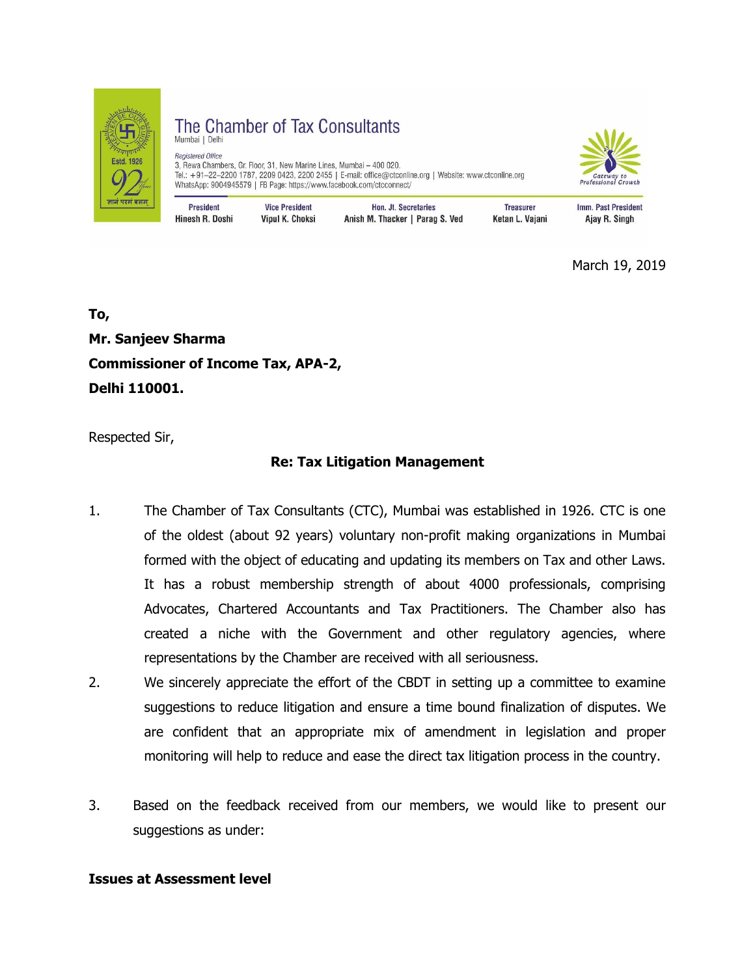

The Chamber of Tax Consultants Mumbai | Delhi Registered Office 3, Rewa Chambers, Gr. Floor, 31, New Marine Lines, Mumbai – 400 020.<br>3, Rewa Chambers, Gr. Floor, 31, New Marine Lines, Mumbai – 400 020.<br>Tel.: +91–22–2200 1787, 2209 0423, 2200 2455 | E-mail: office@ctconline.org | Websit WhatsApp: 9004945579 | FB Page: https://www.facebook.com/ctcconnect/



**President Vice President** Hon. Jt. Secretaries **Treasurer** Imm. Past President Hinesh R. Doshi Vipul K. Choksi Anish M. Thacker | Parag S. Ved Ketan L. Vajani Ajay R. Singh

March 19, 2019

**To, Mr. Sanjeev Sharma Commissioner of Income Tax, APA-2, Delhi 110001.**

Respected Sir,

# **Re: Tax Litigation Management**

- 1. The Chamber of Tax Consultants (CTC), Mumbai was established in 1926. CTC is one of the oldest (about 92 years) voluntary non-profit making organizations in Mumbai formed with the object of educating and updating its members on Tax and other Laws. It has a robust membership strength of about 4000 professionals, comprising Advocates, Chartered Accountants and Tax Practitioners. The Chamber also has created a niche with the Government and other regulatory agencies, where representations by the Chamber are received with all seriousness.
- 2. We sincerely appreciate the effort of the CBDT in setting up a committee to examine suggestions to reduce litigation and ensure a time bound finalization of disputes. We are confident that an appropriate mix of amendment in legislation and proper monitoring will help to reduce and ease the direct tax litigation process in the country.
- 3. Based on the feedback received from our members, we would like to present our suggestions as under:

### **Issues at Assessment level**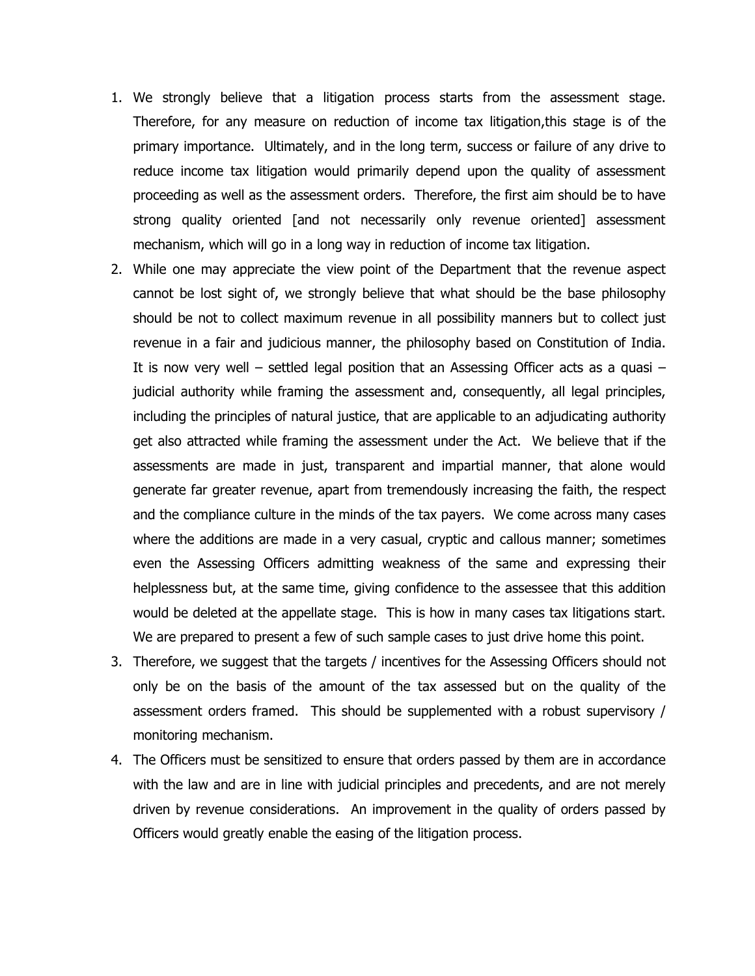- 1. We strongly believe that a litigation process starts from the assessment stage. Therefore, for any measure on reduction of income tax litigation,this stage is of the primary importance. Ultimately, and in the long term, success or failure of any drive to reduce income tax litigation would primarily depend upon the quality of assessment proceeding as well as the assessment orders. Therefore, the first aim should be to have strong quality oriented [and not necessarily only revenue oriented] assessment mechanism, which will go in a long way in reduction of income tax litigation.
- 2. While one may appreciate the view point of the Department that the revenue aspect cannot be lost sight of, we strongly believe that what should be the base philosophy should be not to collect maximum revenue in all possibility manners but to collect just revenue in a fair and judicious manner, the philosophy based on Constitution of India. It is now very well – settled legal position that an Assessing Officer acts as a quasi – judicial authority while framing the assessment and, consequently, all legal principles, including the principles of natural justice, that are applicable to an adjudicating authority get also attracted while framing the assessment under the Act. We believe that if the assessments are made in just, transparent and impartial manner, that alone would generate far greater revenue, apart from tremendously increasing the faith, the respect and the compliance culture in the minds of the tax payers. We come across many cases where the additions are made in a very casual, cryptic and callous manner; sometimes even the Assessing Officers admitting weakness of the same and expressing their helplessness but, at the same time, giving confidence to the assessee that this addition would be deleted at the appellate stage. This is how in many cases tax litigations start. We are prepared to present a few of such sample cases to just drive home this point.
- 3. Therefore, we suggest that the targets / incentives for the Assessing Officers should not only be on the basis of the amount of the tax assessed but on the quality of the assessment orders framed. This should be supplemented with a robust supervisory / monitoring mechanism.
- 4. The Officers must be sensitized to ensure that orders passed by them are in accordance with the law and are in line with judicial principles and precedents, and are not merely driven by revenue considerations. An improvement in the quality of orders passed by Officers would greatly enable the easing of the litigation process.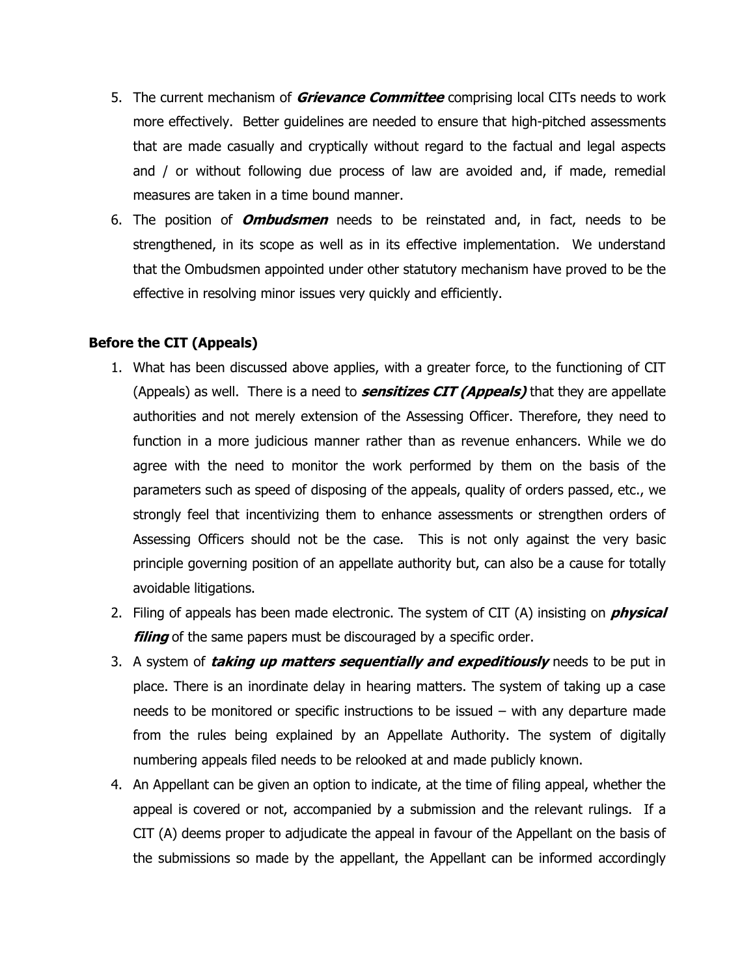- 5. The current mechanism of **Grievance Committee** comprising local CITs needs to work more effectively. Better guidelines are needed to ensure that high-pitched assessments that are made casually and cryptically without regard to the factual and legal aspects and / or without following due process of law are avoided and, if made, remedial measures are taken in a time bound manner.
- 6. The position of **Ombudsmen** needs to be reinstated and, in fact, needs to be strengthened, in its scope as well as in its effective implementation. We understand that the Ombudsmen appointed under other statutory mechanism have proved to be the effective in resolving minor issues very quickly and efficiently.

# **Before the CIT (Appeals)**

- 1. What has been discussed above applies, with a greater force, to the functioning of CIT (Appeals) as well. There is a need to **sensitizes CIT (Appeals)** that they are appellate authorities and not merely extension of the Assessing Officer. Therefore, they need to function in a more judicious manner rather than as revenue enhancers. While we do agree with the need to monitor the work performed by them on the basis of the parameters such as speed of disposing of the appeals, quality of orders passed, etc., we strongly feel that incentivizing them to enhance assessments or strengthen orders of Assessing Officers should not be the case. This is not only against the very basic principle governing position of an appellate authority but, can also be a cause for totally avoidable litigations.
- 2. Filing of appeals has been made electronic. The system of CIT (A) insisting on **physical filing** of the same papers must be discouraged by a specific order.
- 3. A system of **taking up matters sequentially and expeditiously** needs to be put in place. There is an inordinate delay in hearing matters. The system of taking up a case needs to be monitored or specific instructions to be issued – with any departure made from the rules being explained by an Appellate Authority. The system of digitally numbering appeals filed needs to be relooked at and made publicly known.
- 4. An Appellant can be given an option to indicate, at the time of filing appeal, whether the appeal is covered or not, accompanied by a submission and the relevant rulings. If a CIT (A) deems proper to adjudicate the appeal in favour of the Appellant on the basis of the submissions so made by the appellant, the Appellant can be informed accordingly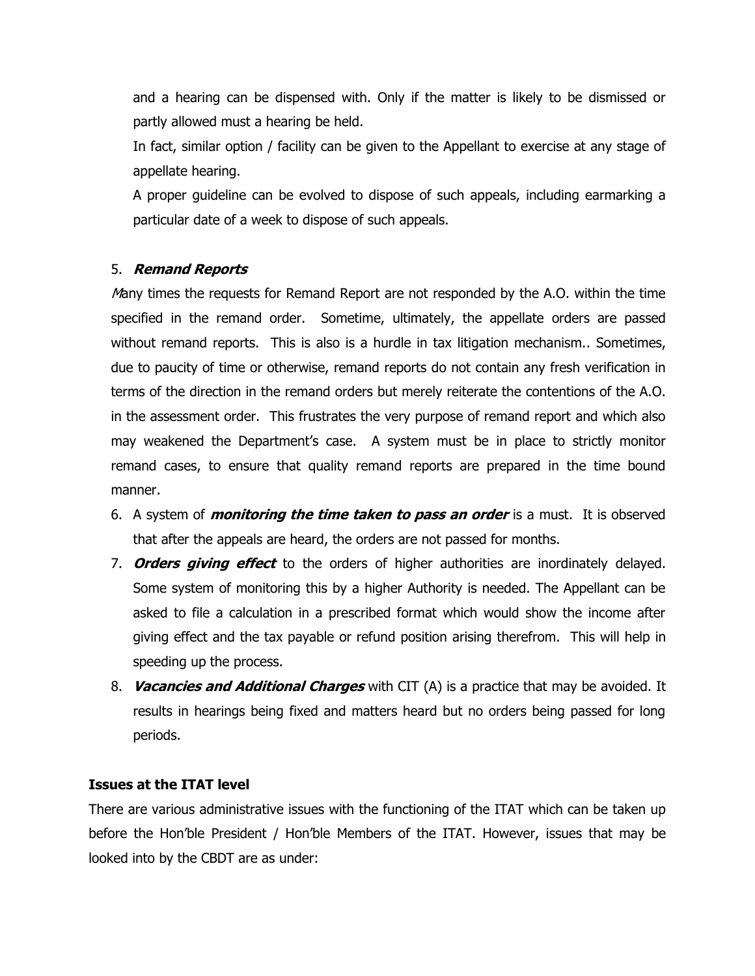and a hearing can be dispensed with. Only if the matter is likely to be dismissed or partly allowed must a hearing be held.

In fact, similar option / facility can be given to the Appellant to exercise at any stage of appellate hearing.

A proper guideline can be evolved to dispose of such appeals, including earmarking a particular date of a week to dispose of such appeals.

# 5. **Remand Reports**

Many times the requests for Remand Report are not responded by the A.O. within the time specified in the remand order. Sometime, ultimately, the appellate orders are passed without remand reports. This is also is a hurdle in tax litigation mechanism.. Sometimes, due to paucity of time or otherwise, remand reports do not contain any fresh verification in terms of the direction in the remand orders but merely reiterate the contentions of the A.O. in the assessment order. This frustrates the very purpose of remand report and which also may weakened the Department's case. A system must be in place to strictly monitor remand cases, to ensure that quality remand reports are prepared in the time bound manner.

- 6. A system of **monitoring the time taken to pass an order** is a must. It is observed that after the appeals are heard, the orders are not passed for months.
- 7. **Orders giving effect** to the orders of higher authorities are inordinately delayed. Some system of monitoring this by a higher Authority is needed. The Appellant can be asked to file a calculation in a prescribed format which would show the income after giving effect and the tax payable or refund position arising therefrom. This will help in speeding up the process.
- 8. **Vacancies and Additional Charges** with CIT (A) is a practice that may be avoided. It results in hearings being fixed and matters heard but no orders being passed for long periods.

### **Issues at the ITAT level**

There are various administrative issues with the functioning of the ITAT which can be taken up before the Hon'ble President / Hon'ble Members of the ITAT. However, issues that may be looked into by the CBDT are as under: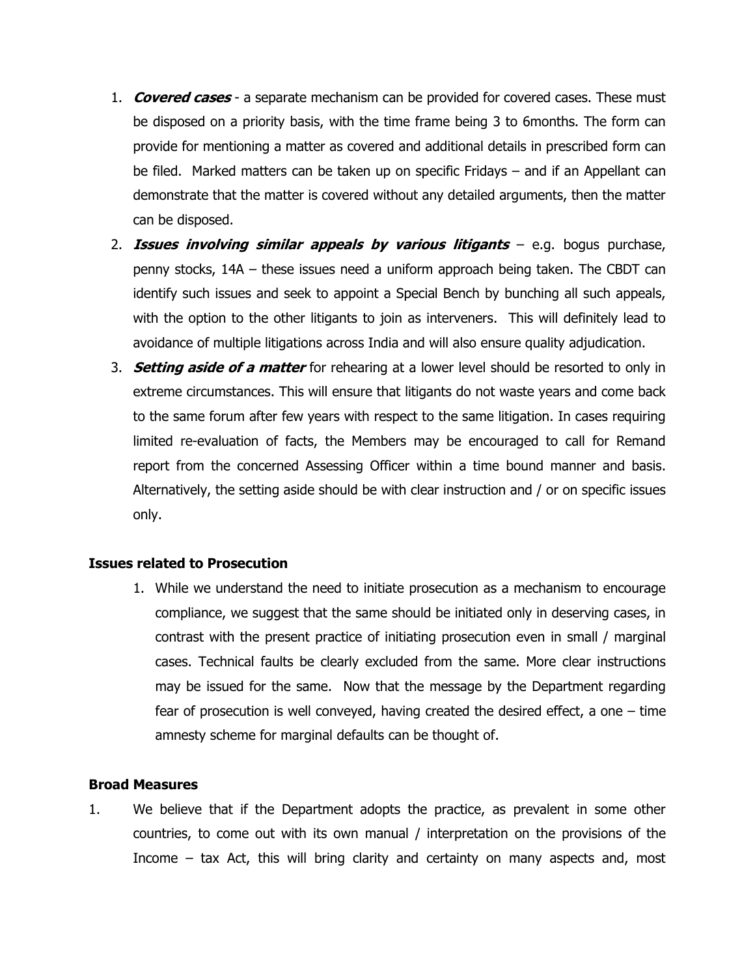- 1. **Covered cases** a separate mechanism can be provided for covered cases. These must be disposed on a priority basis, with the time frame being 3 to 6months. The form can provide for mentioning a matter as covered and additional details in prescribed form can be filed. Marked matters can be taken up on specific Fridays – and if an Appellant can demonstrate that the matter is covered without any detailed arguments, then the matter can be disposed.
- 2. **Issues involving similar appeals by various litigants** e.g. bogus purchase, penny stocks, 14A – these issues need a uniform approach being taken. The CBDT can identify such issues and seek to appoint a Special Bench by bunching all such appeals, with the option to the other litigants to join as interveners. This will definitely lead to avoidance of multiple litigations across India and will also ensure quality adjudication.
- 3. **Setting aside of a matter** for rehearing at a lower level should be resorted to only in extreme circumstances. This will ensure that litigants do not waste years and come back to the same forum after few years with respect to the same litigation. In cases requiring limited re-evaluation of facts, the Members may be encouraged to call for Remand report from the concerned Assessing Officer within a time bound manner and basis. Alternatively, the setting aside should be with clear instruction and / or on specific issues only.

### **Issues related to Prosecution**

1. While we understand the need to initiate prosecution as a mechanism to encourage compliance, we suggest that the same should be initiated only in deserving cases, in contrast with the present practice of initiating prosecution even in small / marginal cases. Technical faults be clearly excluded from the same. More clear instructions may be issued for the same. Now that the message by the Department regarding fear of prosecution is well conveyed, having created the desired effect, a one – time amnesty scheme for marginal defaults can be thought of.

#### **Broad Measures**

1. We believe that if the Department adopts the practice, as prevalent in some other countries, to come out with its own manual / interpretation on the provisions of the Income – tax Act, this will bring clarity and certainty on many aspects and, most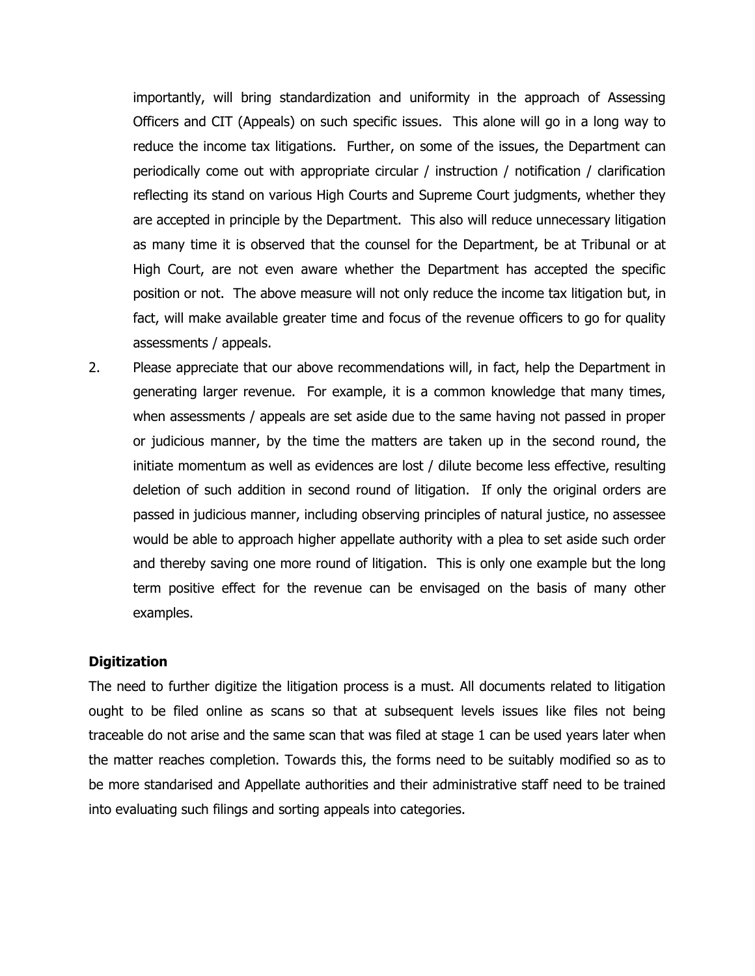importantly, will bring standardization and uniformity in the approach of Assessing Officers and CIT (Appeals) on such specific issues. This alone will go in a long way to reduce the income tax litigations. Further, on some of the issues, the Department can periodically come out with appropriate circular / instruction / notification / clarification reflecting its stand on various High Courts and Supreme Court judgments, whether they are accepted in principle by the Department. This also will reduce unnecessary litigation as many time it is observed that the counsel for the Department, be at Tribunal or at High Court, are not even aware whether the Department has accepted the specific position or not. The above measure will not only reduce the income tax litigation but, in fact, will make available greater time and focus of the revenue officers to go for quality assessments / appeals.

2. Please appreciate that our above recommendations will, in fact, help the Department in generating larger revenue. For example, it is a common knowledge that many times, when assessments / appeals are set aside due to the same having not passed in proper or judicious manner, by the time the matters are taken up in the second round, the initiate momentum as well as evidences are lost / dilute become less effective, resulting deletion of such addition in second round of litigation. If only the original orders are passed in judicious manner, including observing principles of natural justice, no assessee would be able to approach higher appellate authority with a plea to set aside such order and thereby saving one more round of litigation. This is only one example but the long term positive effect for the revenue can be envisaged on the basis of many other examples.

### **Digitization**

The need to further digitize the litigation process is a must. All documents related to litigation ought to be filed online as scans so that at subsequent levels issues like files not being traceable do not arise and the same scan that was filed at stage 1 can be used years later when the matter reaches completion. Towards this, the forms need to be suitably modified so as to be more standarised and Appellate authorities and their administrative staff need to be trained into evaluating such filings and sorting appeals into categories.